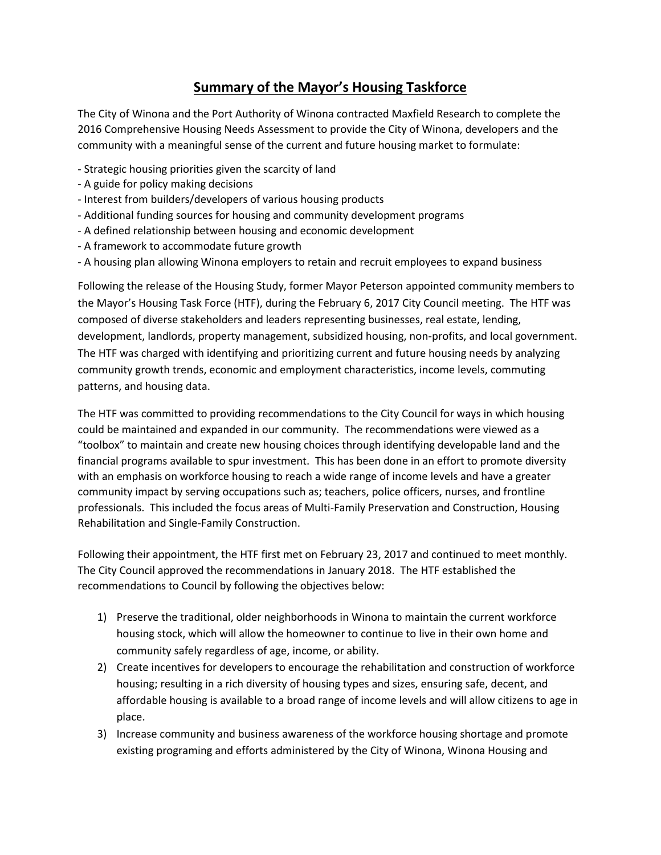## **Summary of the Mayor's Housing Taskforce**

The City of Winona and the Port Authority of Winona contracted Maxfield Research to complete the 2016 Comprehensive Housing Needs Assessment to provide the City of Winona, developers and the community with a meaningful sense of the current and future housing market to formulate:

- Strategic housing priorities given the scarcity of land
- A guide for policy making decisions
- Interest from builders/developers of various housing products
- Additional funding sources for housing and community development programs
- A defined relationship between housing and economic development
- A framework to accommodate future growth
- A housing plan allowing Winona employers to retain and recruit employees to expand business

Following the release of the Housing Study, former Mayor Peterson appointed community members to the Mayor's Housing Task Force (HTF), during the February 6, 2017 City Council meeting. The HTF was composed of diverse stakeholders and leaders representing businesses, real estate, lending, development, landlords, property management, subsidized housing, non-profits, and local government. The HTF was charged with identifying and prioritizing current and future housing needs by analyzing community growth trends, economic and employment characteristics, income levels, commuting patterns, and housing data.

The HTF was committed to providing recommendations to the City Council for ways in which housing could be maintained and expanded in our community. The recommendations were viewed as a "toolbox" to maintain and create new housing choices through identifying developable land and the financial programs available to spur investment. This has been done in an effort to promote diversity with an emphasis on workforce housing to reach a wide range of income levels and have a greater community impact by serving occupations such as; teachers, police officers, nurses, and frontline professionals. This included the focus areas of Multi-Family Preservation and Construction, Housing Rehabilitation and Single-Family Construction.

Following their appointment, the HTF first met on February 23, 2017 and continued to meet monthly. The City Council approved the recommendations in January 2018. The HTF established the recommendations to Council by following the objectives below:

- 1) Preserve the traditional, older neighborhoods in Winona to maintain the current workforce housing stock, which will allow the homeowner to continue to live in their own home and community safely regardless of age, income, or ability.
- 2) Create incentives for developers to encourage the rehabilitation and construction of workforce housing; resulting in a rich diversity of housing types and sizes, ensuring safe, decent, and affordable housing is available to a broad range of income levels and will allow citizens to age in place.
- 3) Increase community and business awareness of the workforce housing shortage and promote existing programing and efforts administered by the City of Winona, Winona Housing and